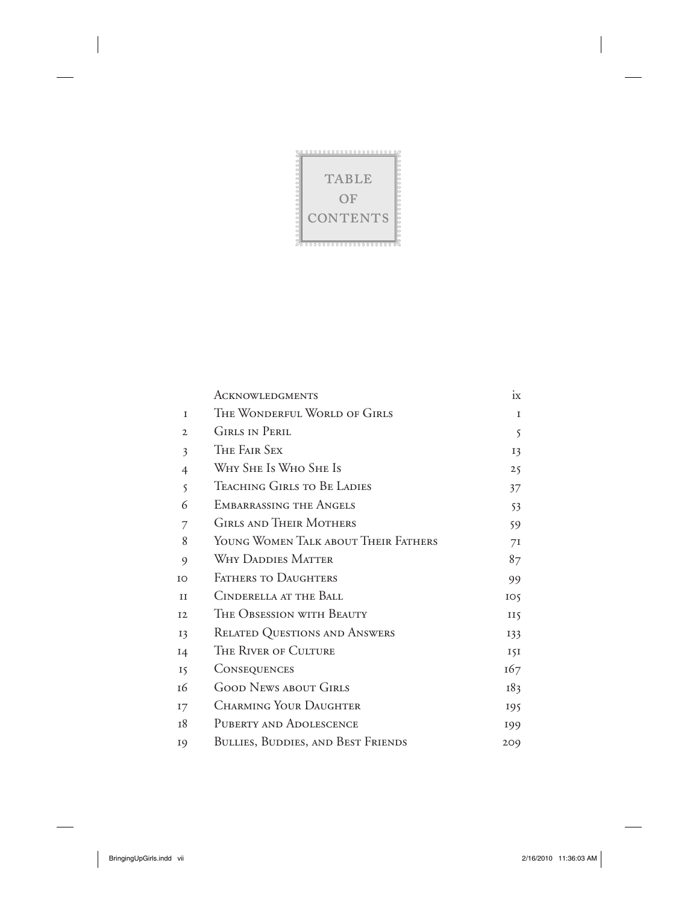

|                | ACKNOWLEDGMENTS                      | 1X              |
|----------------|--------------------------------------|-----------------|
| T              | The Wonderful World of Girls         | T               |
| $\mathfrak{D}$ | GIRLS IN PERIL                       | $\mathsf{S}$    |
| 3              | THE FAIR SEX                         | 13              |
| $\overline{4}$ | WHY SHE IS WHO SHE IS                | 25              |
| 5              | Teaching Girls to Be Ladies          | 37              |
| 6              | <b>EMBARRASSING THE ANGELS</b>       | 53              |
| 7              | <b>GIRLS AND THEIR MOTHERS</b>       | 59              |
| 8              | YOUNG WOMEN TALK ABOUT THEIR FATHERS | 7I              |
| 9              | WHY DADDIES MATTER                   | 87              |
| IO             | <b>FATHERS TO DAUGHTERS</b>          | 99              |
| II             | CINDERELLA AT THE BALL               | IO <sub>5</sub> |
| I <sub>2</sub> | The Obsession with Beauty            | Ш5              |
| 13             | <b>RELATED QUESTIONS AND ANSWERS</b> | 133             |
| <b>14</b>      | THE RIVER OF CULTURE                 | 151             |
| 15             | CONSEQUENCES                         | 167             |
| <sup>16</sup>  | <b>GOOD NEWS ABOUT GIRLS</b>         | 183             |
| 17             | <b>CHARMING YOUR DAUGHTER</b>        | 195             |
| <b>18</b>      | PUBERTY AND ADOLESCENCE              | 199             |
| 19             | BULLIES, BUDDIES, AND BEST FRIENDS   | 209             |

 $\overline{\phantom{a}}$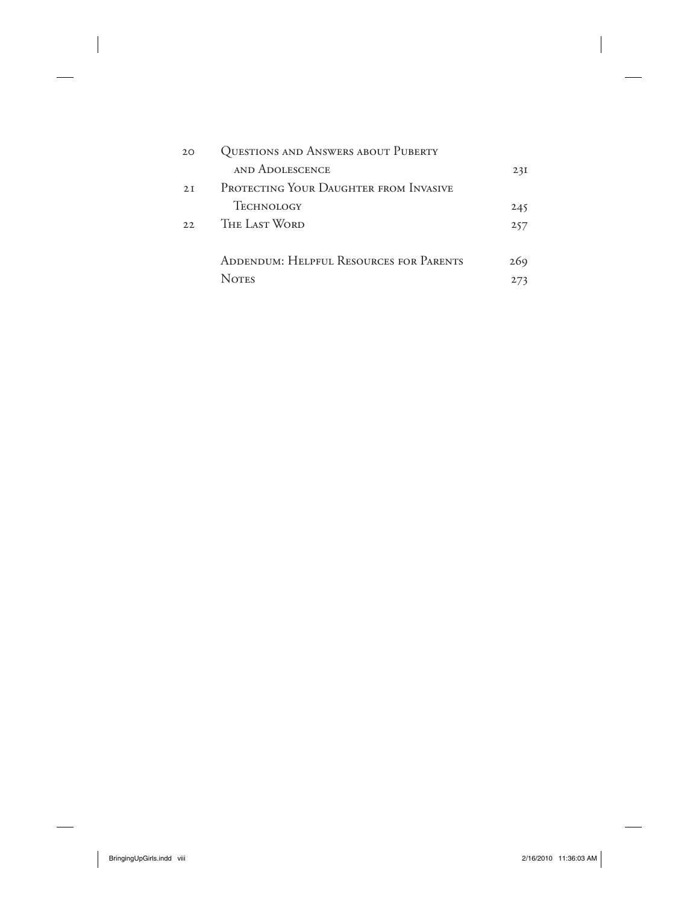| 20   | QUESTIONS AND ANSWERS ABOUT PUBERTY     |     |
|------|-----------------------------------------|-----|
|      | AND ADOLESCENCE                         | 231 |
| 2.1  | PROTECTING YOUR DAUGHTER FROM INVASIVE  |     |
|      | <b>TECHNOLOGY</b>                       | 245 |
| 2.2. | The Last Word                           | 257 |
|      |                                         |     |
|      | ADDENDUM: HELPFUL RESOURCES FOR PARENTS | 269 |
|      | <b>NOTES</b>                            | 273 |

 $\overline{\phantom{a}}$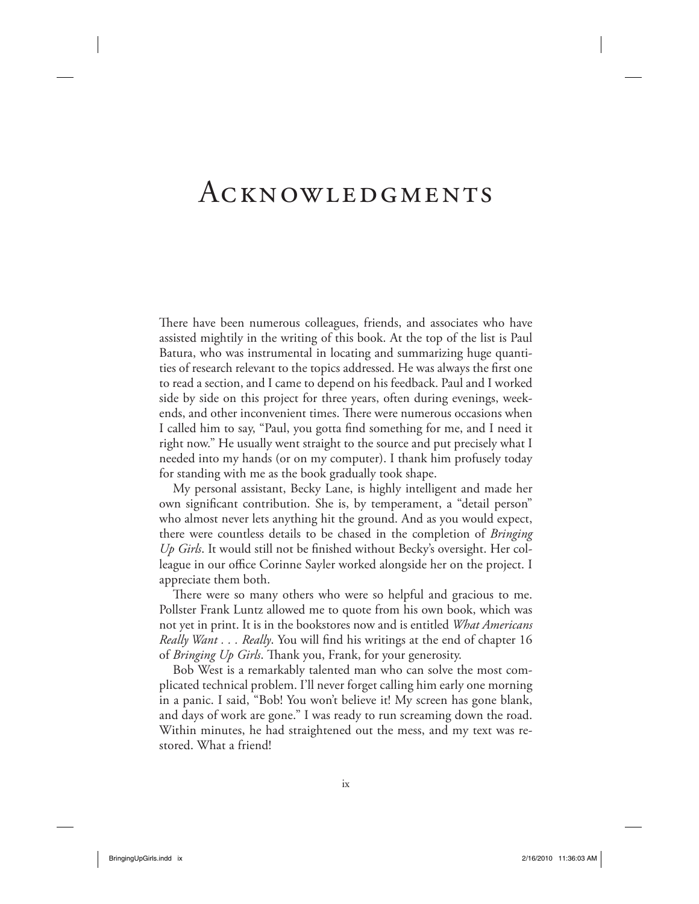# ACKNOWLEDGMENTS

There have been numerous colleagues, friends, and associates who have assisted mightily in the writing of this book. At the top of the list is Paul Batura, who was instrumental in locating and summarizing huge quantities of research relevant to the topics addressed. He was always the first one to read a section, and I came to depend on his feedback. Paul and I worked side by side on this project for three years, often during evenings, weekends, and other inconvenient times. There were numerous occasions when I called him to say, "Paul, you gotta find something for me, and I need it right now." He usually went straight to the source and put precisely what I needed into my hands (or on my computer). I thank him profusely today for standing with me as the book gradually took shape.

My personal assistant, Becky Lane, is highly intelligent and made her own significant contribution. She is, by temperament, a "detail person" who almost never lets anything hit the ground. And as you would expect, there were countless details to be chased in the completion of *Bringing Up Girls*. It would still not be finished without Becky's oversight. Her colleague in our office Corinne Sayler worked alongside her on the project. I appreciate them both.

There were so many others who were so helpful and gracious to me. Pollster Frank Luntz allowed me to quote from his own book, which was not yet in print. It is in the bookstores now and is entitled *What Americans Really Want . . . Really.* You will find his writings at the end of chapter 16 of *Bringing Up Girls*. Thank you, Frank, for your generosity.

Bob West is a remarkably talented man who can solve the most complicated technical problem. I'll never forget calling him early one morning in a panic. I said, "Bob! You won't believe it! My screen has gone blank, and days of work are gone." I was ready to run screaming down the road. Within minutes, he had straightened out the mess, and my text was restored. What a friend!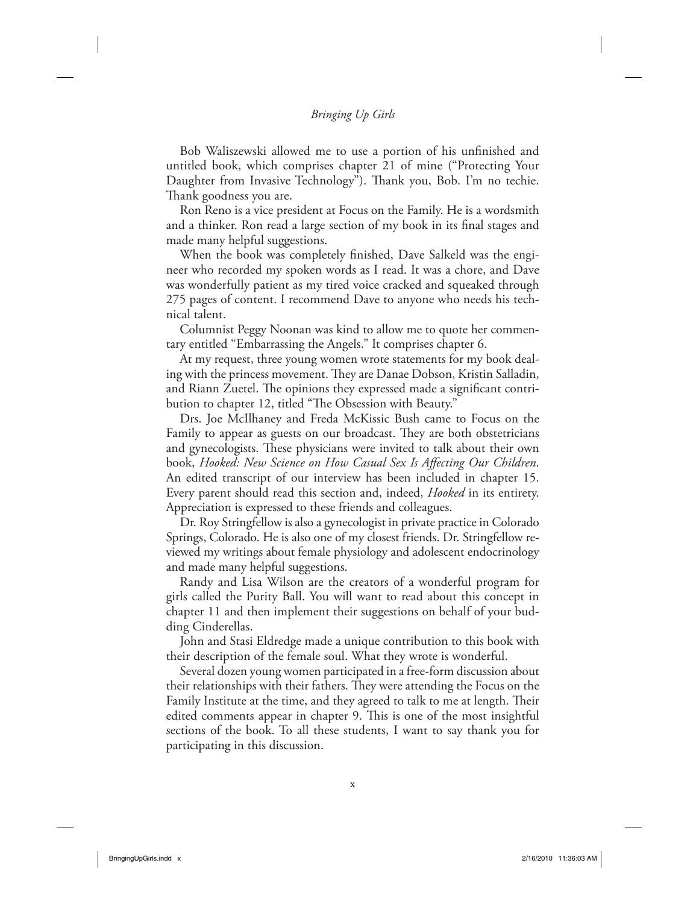## *Bringing Up Girls*

Bob Waliszewski allowed me to use a portion of his unfinished and untitled book, which comprises chapter 21 of mine ("Protecting Your Daughter from Invasive Technology"). Thank you, Bob. I'm no techie. Thank goodness you are.

Ron Reno is a vice president at Focus on the Family. He is a wordsmith and a thinker. Ron read a large section of my book in its final stages and made many helpful suggestions.

When the book was completely finished, Dave Salkeld was the engineer who recorded my spoken words as I read. It was a chore, and Dave was wonderfully patient as my tired voice cracked and squeaked through 275 pages of content. I recommend Dave to anyone who needs his technical talent.

Columnist Peggy Noonan was kind to allow me to quote her commentary entitled "Embarrassing the Angels." It comprises chapter 6.

At my request, three young women wrote statements for my book dealing with the princess movement. They are Danae Dobson, Kristin Salladin, and Riann Zuetel. The opinions they expressed made a significant contribution to chapter 12, titled "The Obsession with Beauty."

Drs. Joe McIlhaney and Freda McKissic Bush came to Focus on the Family to appear as guests on our broadcast. They are both obstetricians and gynecologists. These physicians were invited to talk about their own book, *Hooked: New Science on How Casual Sex Is Affecting Our Children.* An edited transcript of our interview has been included in chapter 15. Every parent should read this section and, indeed, *Hooked* in its entirety. Appreciation is expressed to these friends and colleagues.

Dr. Roy Stringfellow is also a gynecologist in private practice in Colorado Springs, Colorado. He is also one of my closest friends. Dr. Stringfellow reviewed my writings about female physiology and adolescent endocrinology and made many helpful suggestions.

Randy and Lisa Wilson are the creators of a wonderful program for girls called the Purity Ball. You will want to read about this concept in chapter 11 and then implement their suggestions on behalf of your budding Cinderellas.

John and Stasi Eldredge made a unique contribution to this book with their description of the female soul. What they wrote is wonderful.

Several dozen young women participated in a free-form discussion about their relationships with their fathers. They were attending the Focus on the Family Institute at the time, and they agreed to talk to me at length. Their edited comments appear in chapter 9. This is one of the most insightful sections of the book. To all these students, I want to say thank you for participating in this discussion.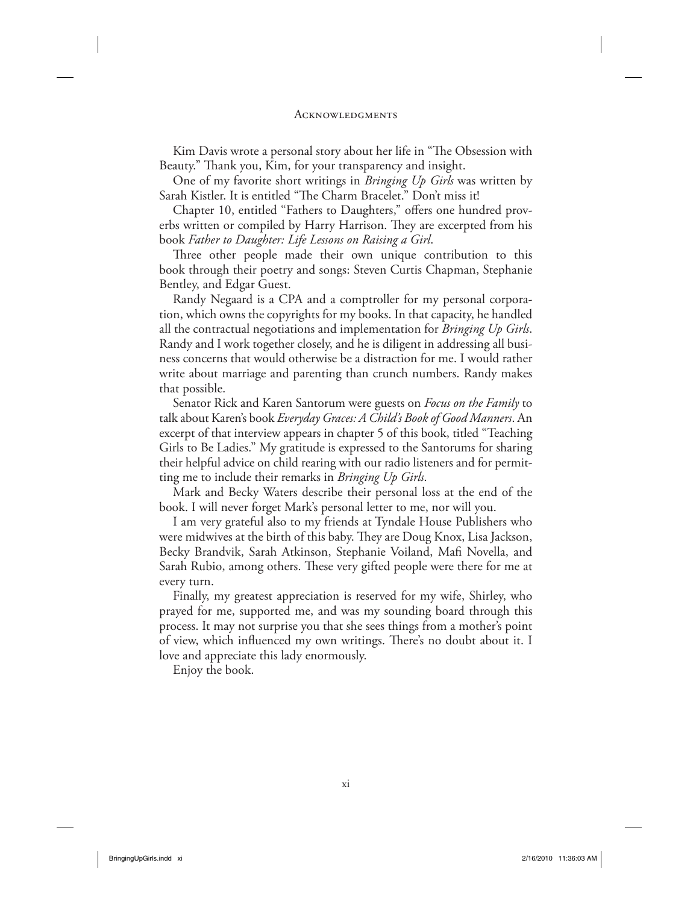#### **ACKNOWLEDGMENTS**

Kim Davis wrote a personal story about her life in "The Obsession with Beauty." Thank you, Kim, for your transparency and insight.

One of my favorite short writings in *Bringing Up Girls* was written by Sarah Kistler. It is entitled "The Charm Bracelet." Don't miss it!

Chapter 10, entitled "Fathers to Daughters," offers one hundred proverbs written or compiled by Harry Harrison. They are excerpted from his book *Father to Daughter: Life Lessons on Raising a Girl*.

Three other people made their own unique contribution to this book through their poetry and songs: Steven Curtis Chapman, Stephanie Bentley, and Edgar Guest.

Randy Negaard is a CPA and a comptroller for my personal corporation, which owns the copyrights for my books. In that capacity, he handled all the contractual negotiations and implementation for *Bringing Up Girls*. Randy and I work together closely, and he is diligent in addressing all business concerns that would otherwise be a distraction for me. I would rather write about marriage and parenting than crunch numbers. Randy makes that possible.

Senator Rick and Karen Santorum were guests on *Focus on the Family* to talk about Karen's book *Everyday Graces: A Child's Book of Good Manners*. An excerpt of that interview appears in chapter 5 of this book, titled "Teaching Girls to Be Ladies." My gratitude is expressed to the Santorums for sharing their helpful advice on child rearing with our radio listeners and for permitting me to include their remarks in *Bringing Up Girls*.

Mark and Becky Waters describe their personal loss at the end of the book. I will never forget Mark's personal letter to me, nor will you.

I am very grateful also to my friends at Tyndale House Publishers who were midwives at the birth of this baby. They are Doug Knox, Lisa Jackson, Becky Brandvik, Sarah Atkinson, Stephanie Voiland, Mafi Novella, and Sarah Rubio, among others. These very gifted people were there for me at every turn.

Finally, my greatest appreciation is reserved for my wife, Shirley, who prayed for me, supported me, and was my sounding board through this process. It may not surprise you that she sees things from a mother's point of view, which influenced my own writings. There's no doubt about it. I love and appreciate this lady enormously.

Enjoy the book.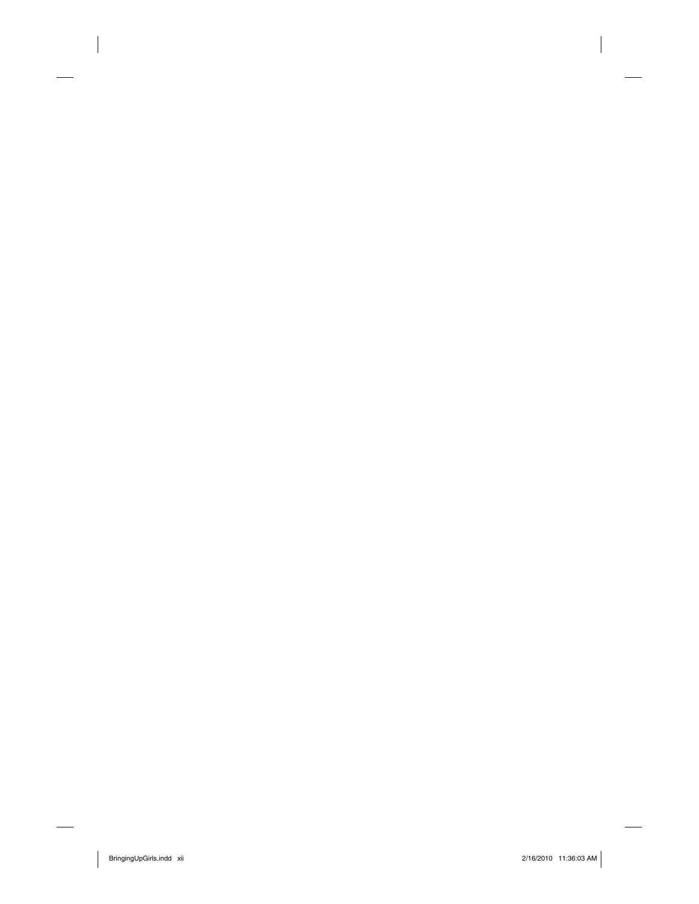$\overline{\phantom{a}}$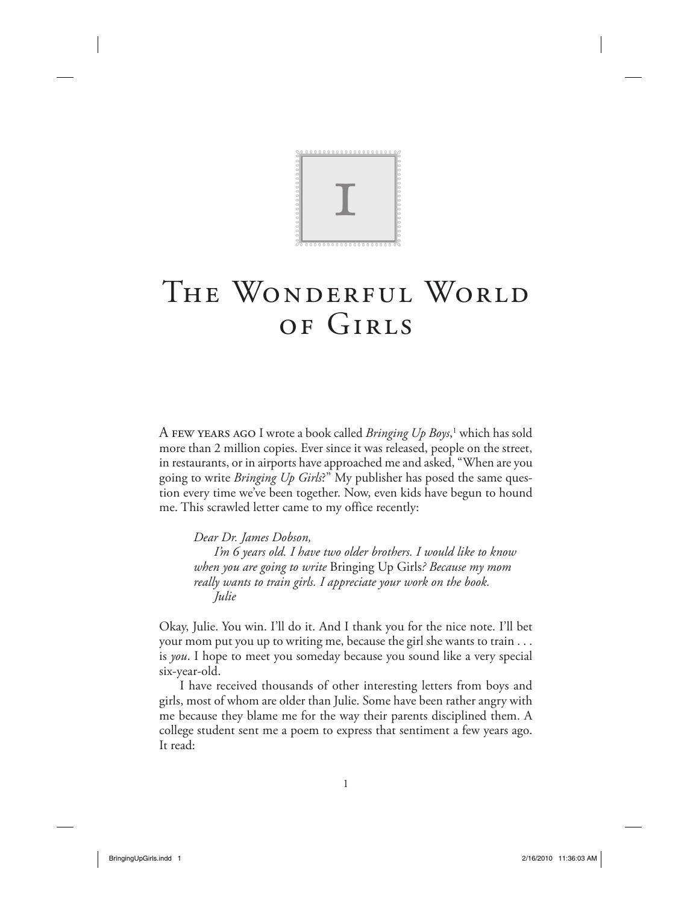

# The Wonderful World of Girls

A few years a go I wrote a book called *Bringing Up Boys*, 1 which has sold more than 2 million copies. Ever since it was released, people on the street, in restaurants, or in airports have approached me and asked, "When are you going to write *Bringing Up Girls*?" My publisher has posed the same question every time we've been together. Now, even kids have begun to hound me. This scrawled letter came to my office recently:

*Dear Dr. James Dobson,*

*I'm 6 years old. I have two older brothers. I would like to know when you are going to write* Bringing Up Girls*? Because my mom really wants to train girls. I appreciate your work on the book. Julie*

Okay, Julie. You win. I'll do it. And I thank you for the nice note. I'll bet your mom put you up to writing me, because the girl she wants to train . . . is *you*. I hope to meet you someday because you sound like a very special six-year-old.

I have received thousands of other interesting letters from boys and girls, most of whom are older than Julie. Some have been rather angry with me because they blame me for the way their parents disciplined them. A college student sent me a poem to express that sentiment a few years ago. It read: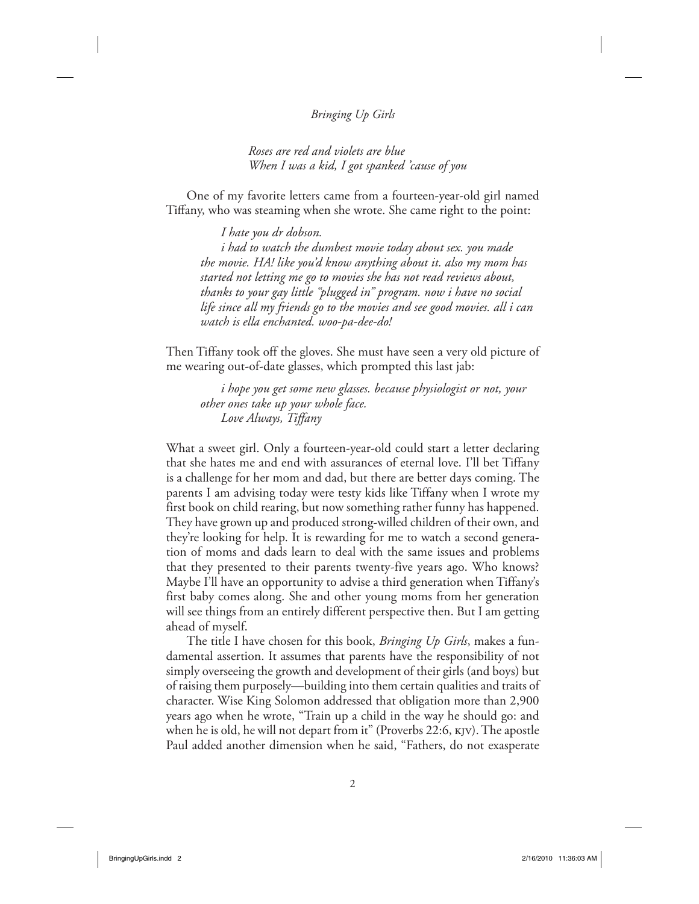# *Bringing Up Girls*

*Roses are red and violets are blue When I was a kid, I got spanked 'cause of you*

One of my favorite letters came from a fourteen- year- old girl named Tiffany, who was steaming when she wrote. She came right to the point:

*I hate you dr dobson. i had to watch the dumbest movie today about sex. you made the movie. HA! like you'd know anything about it. also my mom has started not letting me go to movies she has not read reviews about, thanks to your gay little "plugged in" program. now i have no social life since all my friends go to the movies and see good movies. all i can watch is ella enchanted. woo- pa- dee- do!*

Then Tiffany took off the gloves. She must have seen a very old picture of me wearing out-of-date glasses, which prompted this last jab:

*i hope you get some new glasses. because physiologist or not, your other ones take up your whole face. Love Always, Tiffany*

What a sweet girl. Only a fourteen-year-old could start a letter declaring that she hates me and end with assurances of eternal love. I'll bet Tiffany is a challenge for her mom and dad, but there are better days coming. The parents I am advising today were testy kids like Tiffany when I wrote my first book on child rearing, but now something rather funny has happened. They have grown up and produced strong- willed children of their own, and they're looking for help. It is rewarding for me to watch a second generation of moms and dads learn to deal with the same issues and problems that they presented to their parents twenty-five years ago. Who knows? Maybe I'll have an opportunity to advise a third generation when Tiffany's first baby comes along. She and other young moms from her generation will see things from an entirely different perspective then. But I am getting ahead of myself.

The title I have chosen for this book, *Bringing Up Girls*, makes a fundamental assertion. It assumes that parents have the responsibility of not simply overseeing the growth and development of their girls (and boys) but of raising them purposely—building into them certain qualities and traits of character. Wise King Solomon addressed that obligation more than 2,900 years ago when he wrote, "Train up a child in the way he should go: and when he is old, he will not depart from it" (Proverbs 22:6, kjv). The apostle Paul added another dimension when he said, "Fathers, do not exasperate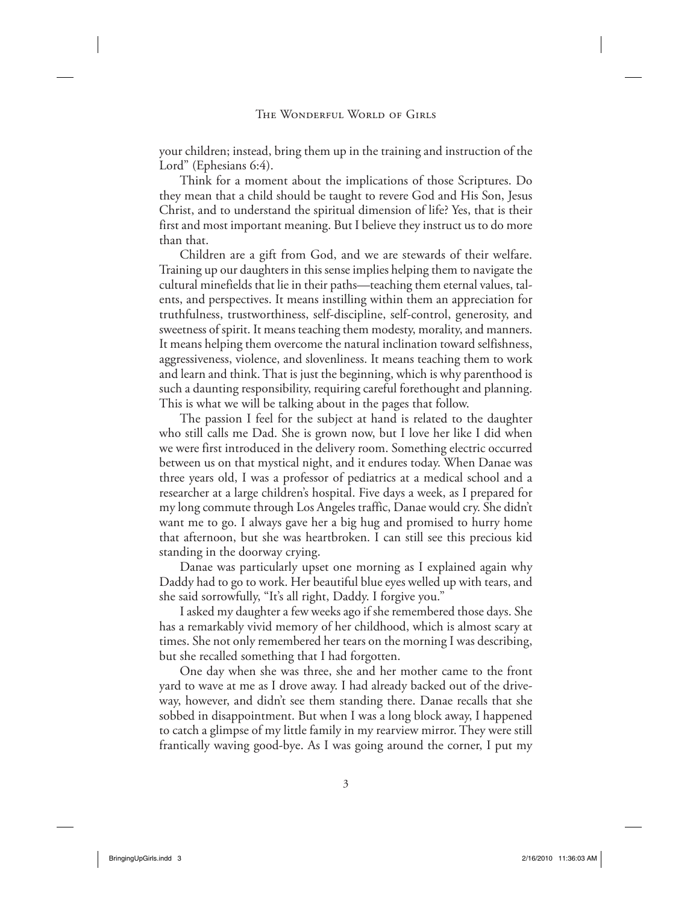### The Wonderful World of Girls

your children; instead, bring them up in the training and instruction of the Lord" (Ephesians 6:4).

Think for a moment about the implications of those Scriptures. Do they mean that a child should be taught to revere God and His Son, Jesus Christ, and to understand the spiritual dimension of life? Yes, that is their first and most important meaning. But I believe they instruct us to do more than that.

Children are a gift from God, and we are stewards of their welfare. Training up our daughters in this sense implies helping them to navigate the cultural minefields that lie in their paths—teaching them eternal values, talents, and perspectives. It means instilling within them an appreciation for truthfulness, trustworthiness, self- discipline, self- control, generosity, and sweetness of spirit. It means teaching them modesty, morality, and manners. It means helping them overcome the natural inclination toward selfishness, aggressiveness, violence, and slovenliness. It means teaching them to work and learn and think. That is just the beginning, which is why parenthood is such a daunting responsibility, requiring careful forethought and planning. This is what we will be talking about in the pages that follow.

The passion I feel for the subject at hand is related to the daughter who still calls me Dad. She is grown now, but I love her like I did when we were first introduced in the delivery room. Something electric occurred between us on that mystical night, and it endures today. When Danae was three years old, I was a professor of pediatrics at a medical school and a researcher at a large children's hospital. Five days a week, as I prepared for my long commute through Los Angeles traffic, Danae would cry. She didn't want me to go. I always gave her a big hug and promised to hurry home that afternoon, but she was heartbroken. I can still see this precious kid standing in the doorway crying.

Danae was particularly upset one morning as I explained again why Daddy had to go to work. Her beautiful blue eyes welled up with tears, and she said sorrowfully, "It's all right, Daddy. I forgive you."

I asked my daughter a few weeks ago if she remembered those days. She has a remarkably vivid memory of her childhood, which is almost scary at times. She not only remembered her tears on the morning I was describing, but she recalled something that I had forgotten.

One day when she was three, she and her mother came to the front yard to wave at me as I drove away. I had already backed out of the driveway, however, and didn't see them standing there. Danae recalls that she sobbed in disappointment. But when I was a long block away, I happened to catch a glimpse of my little family in my rearview mirror. They were still frantically waving good-bye. As I was going around the corner, I put my